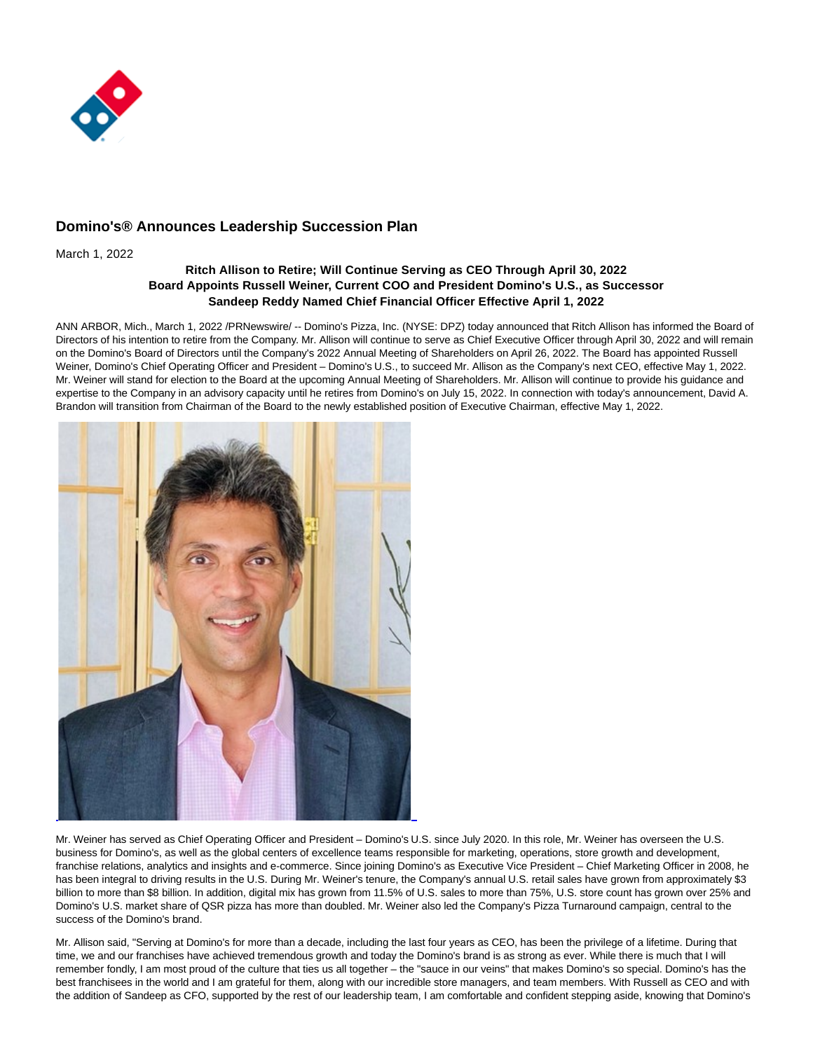

# **Domino's® Announces Leadership Succession Plan**

March 1, 2022

## **Ritch Allison to Retire; Will Continue Serving as CEO Through April 30, 2022 Board Appoints Russell Weiner, Current COO and President Domino's U.S., as Successor Sandeep Reddy Named Chief Financial Officer Effective April 1, 2022**

ANN ARBOR, Mich., March 1, 2022 /PRNewswire/ -- Domino's Pizza, Inc. (NYSE: DPZ) today announced that Ritch Allison has informed the Board of Directors of his intention to retire from the Company. Mr. Allison will continue to serve as Chief Executive Officer through April 30, 2022 and will remain on the Domino's Board of Directors until the Company's 2022 Annual Meeting of Shareholders on April 26, 2022. The Board has appointed Russell Weiner, Domino's Chief Operating Officer and President – Domino's U.S., to succeed Mr. Allison as the Company's next CEO, effective May 1, 2022. Mr. Weiner will stand for election to the Board at the upcoming Annual Meeting of Shareholders. Mr. Allison will continue to provide his guidance and expertise to the Company in an advisory capacity until he retires from Domino's on July 15, 2022. In connection with today's announcement, David A. Brandon will transition from Chairman of the Board to the newly established position of Executive Chairman, effective May 1, 2022.



Mr. Weiner has served as Chief Operating Officer and President – Domino's U.S. since July 2020. In this role, Mr. Weiner has overseen the U.S. business for Domino's, as well as the global centers of excellence teams responsible for marketing, operations, store growth and development, franchise relations, analytics and insights and e-commerce. Since joining Domino's as Executive Vice President – Chief Marketing Officer in 2008, he has been integral to driving results in the U.S. During Mr. Weiner's tenure, the Company's annual U.S. retail sales have grown from approximately \$3 billion to more than \$8 billion. In addition, digital mix has grown from 11.5% of U.S. sales to more than 75%, U.S. store count has grown over 25% and Domino's U.S. market share of QSR pizza has more than doubled. Mr. Weiner also led the Company's Pizza Turnaround campaign, central to the success of the Domino's brand.

Mr. Allison said, "Serving at Domino's for more than a decade, including the last four years as CEO, has been the privilege of a lifetime. During that time, we and our franchises have achieved tremendous growth and today the Domino's brand is as strong as ever. While there is much that I will remember fondly, I am most proud of the culture that ties us all together – the "sauce in our veins" that makes Domino's so special. Domino's has the best franchisees in the world and I am grateful for them, along with our incredible store managers, and team members. With Russell as CEO and with the addition of Sandeep as CFO, supported by the rest of our leadership team, I am comfortable and confident stepping aside, knowing that Domino's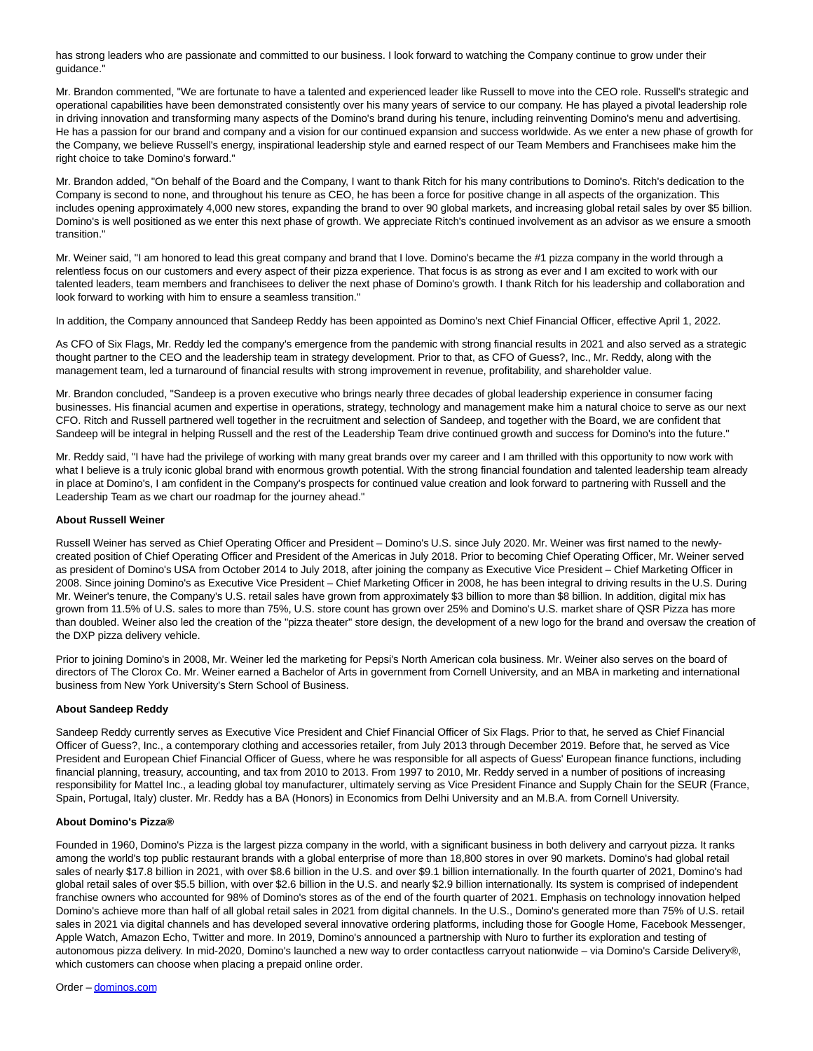has strong leaders who are passionate and committed to our business. I look forward to watching the Company continue to grow under their guidance."

Mr. Brandon commented, "We are fortunate to have a talented and experienced leader like Russell to move into the CEO role. Russell's strategic and operational capabilities have been demonstrated consistently over his many years of service to our company. He has played a pivotal leadership role in driving innovation and transforming many aspects of the Domino's brand during his tenure, including reinventing Domino's menu and advertising. He has a passion for our brand and company and a vision for our continued expansion and success worldwide. As we enter a new phase of growth for the Company, we believe Russell's energy, inspirational leadership style and earned respect of our Team Members and Franchisees make him the right choice to take Domino's forward."

Mr. Brandon added, "On behalf of the Board and the Company, I want to thank Ritch for his many contributions to Domino's. Ritch's dedication to the Company is second to none, and throughout his tenure as CEO, he has been a force for positive change in all aspects of the organization. This includes opening approximately 4,000 new stores, expanding the brand to over 90 global markets, and increasing global retail sales by over \$5 billion. Domino's is well positioned as we enter this next phase of growth. We appreciate Ritch's continued involvement as an advisor as we ensure a smooth transition."

Mr. Weiner said, "I am honored to lead this great company and brand that I love. Domino's became the #1 pizza company in the world through a relentless focus on our customers and every aspect of their pizza experience. That focus is as strong as ever and I am excited to work with our talented leaders, team members and franchisees to deliver the next phase of Domino's growth. I thank Ritch for his leadership and collaboration and look forward to working with him to ensure a seamless transition."

In addition, the Company announced that Sandeep Reddy has been appointed as Domino's next Chief Financial Officer, effective April 1, 2022.

As CFO of Six Flags, Mr. Reddy led the company's emergence from the pandemic with strong financial results in 2021 and also served as a strategic thought partner to the CEO and the leadership team in strategy development. Prior to that, as CFO of Guess?, Inc., Mr. Reddy, along with the management team, led a turnaround of financial results with strong improvement in revenue, profitability, and shareholder value.

Mr. Brandon concluded, "Sandeep is a proven executive who brings nearly three decades of global leadership experience in consumer facing businesses. His financial acumen and expertise in operations, strategy, technology and management make him a natural choice to serve as our next CFO. Ritch and Russell partnered well together in the recruitment and selection of Sandeep, and together with the Board, we are confident that Sandeep will be integral in helping Russell and the rest of the Leadership Team drive continued growth and success for Domino's into the future."

Mr. Reddy said, "I have had the privilege of working with many great brands over my career and I am thrilled with this opportunity to now work with what I believe is a truly iconic global brand with enormous growth potential. With the strong financial foundation and talented leadership team already in place at Domino's, I am confident in the Company's prospects for continued value creation and look forward to partnering with Russell and the Leadership Team as we chart our roadmap for the journey ahead."

### **About Russell Weiner**

Russell Weiner has served as Chief Operating Officer and President – Domino's U.S. since July 2020. Mr. Weiner was first named to the newlycreated position of Chief Operating Officer and President of the Americas in July 2018. Prior to becoming Chief Operating Officer, Mr. Weiner served as president of Domino's USA from October 2014 to July 2018, after joining the company as Executive Vice President – Chief Marketing Officer in 2008. Since joining Domino's as Executive Vice President – Chief Marketing Officer in 2008, he has been integral to driving results in the U.S. During Mr. Weiner's tenure, the Company's U.S. retail sales have grown from approximately \$3 billion to more than \$8 billion. In addition, digital mix has grown from 11.5% of U.S. sales to more than 75%, U.S. store count has grown over 25% and Domino's U.S. market share of QSR Pizza has more than doubled. Weiner also led the creation of the "pizza theater" store design, the development of a new logo for the brand and oversaw the creation of the DXP pizza delivery vehicle.

Prior to joining Domino's in 2008, Mr. Weiner led the marketing for Pepsi's North American cola business. Mr. Weiner also serves on the board of directors of The Clorox Co. Mr. Weiner earned a Bachelor of Arts in government from Cornell University, and an MBA in marketing and international business from New York University's Stern School of Business.

#### **About Sandeep Reddy**

Sandeep Reddy currently serves as Executive Vice President and Chief Financial Officer of Six Flags. Prior to that, he served as Chief Financial Officer of Guess?, Inc., a contemporary clothing and accessories retailer, from July 2013 through December 2019. Before that, he served as Vice President and European Chief Financial Officer of Guess, where he was responsible for all aspects of Guess' European finance functions, including financial planning, treasury, accounting, and tax from 2010 to 2013. From 1997 to 2010, Mr. Reddy served in a number of positions of increasing responsibility for Mattel Inc., a leading global toy manufacturer, ultimately serving as Vice President Finance and Supply Chain for the SEUR (France, Spain, Portugal, Italy) cluster. Mr. Reddy has a BA (Honors) in Economics from Delhi University and an M.B.A. from Cornell University.

#### **About Domino's Pizza®**

Founded in 1960, Domino's Pizza is the largest pizza company in the world, with a significant business in both delivery and carryout pizza. It ranks among the world's top public restaurant brands with a global enterprise of more than 18,800 stores in over 90 markets. Domino's had global retail sales of nearly \$17.8 billion in 2021, with over \$8.6 billion in the U.S. and over \$9.1 billion internationally. In the fourth quarter of 2021, Domino's had global retail sales of over \$5.5 billion, with over \$2.6 billion in the U.S. and nearly \$2.9 billion internationally. Its system is comprised of independent franchise owners who accounted for 98% of Domino's stores as of the end of the fourth quarter of 2021. Emphasis on technology innovation helped Domino's achieve more than half of all global retail sales in 2021 from digital channels. In the U.S., Domino's generated more than 75% of U.S. retail sales in 2021 via digital channels and has developed several innovative ordering platforms, including those for Google Home, Facebook Messenger, Apple Watch, Amazon Echo, Twitter and more. In 2019, Domino's announced a partnership with Nuro to further its exploration and testing of autonomous pizza delivery. In mid-2020, Domino's launched a new way to order contactless carryout nationwide – via Domino's Carside Delivery®, which customers can choose when placing a prepaid online order.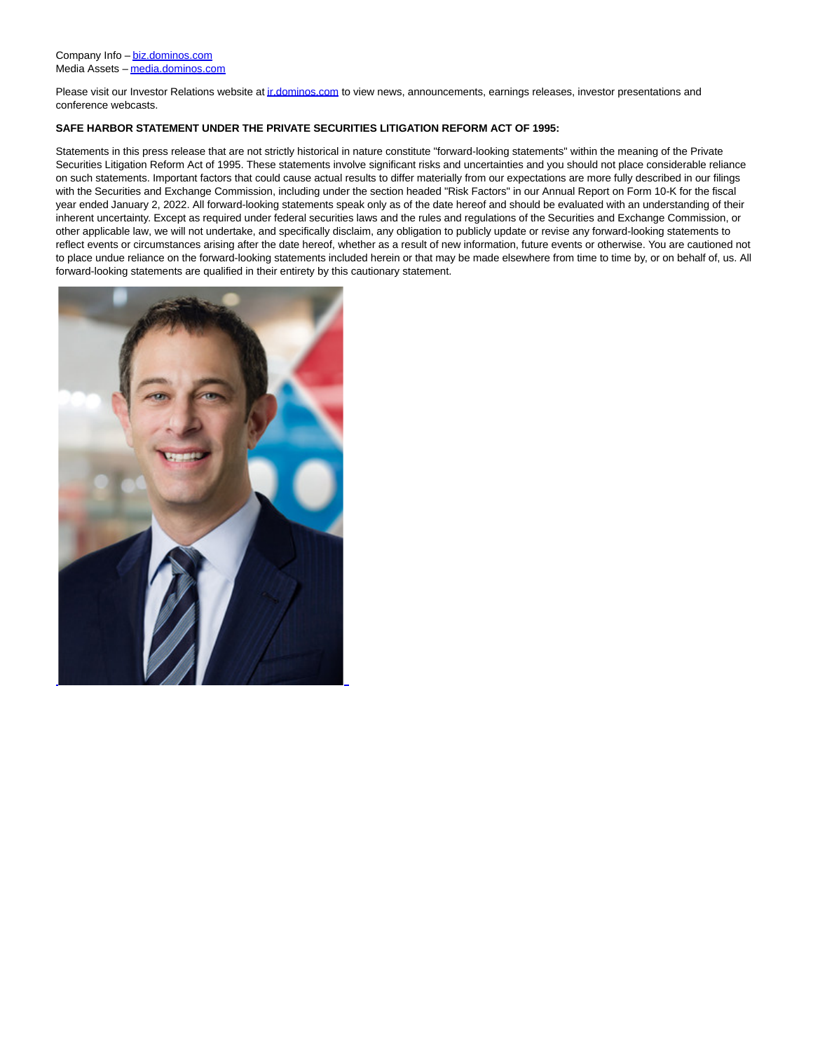Please visit our Investor Relations website a[t ir.dominos.com t](http://ir.dominos.com/)o view news, announcements, earnings releases, investor presentations and conference webcasts.

## **SAFE HARBOR STATEMENT UNDER THE PRIVATE SECURITIES LITIGATION REFORM ACT OF 1995:**

Statements in this press release that are not strictly historical in nature constitute "forward-looking statements" within the meaning of the Private Securities Litigation Reform Act of 1995. These statements involve significant risks and uncertainties and you should not place considerable reliance on such statements. Important factors that could cause actual results to differ materially from our expectations are more fully described in our filings with the Securities and Exchange Commission, including under the section headed "Risk Factors" in our Annual Report on Form 10-K for the fiscal year ended January 2, 2022. All forward-looking statements speak only as of the date hereof and should be evaluated with an understanding of their inherent uncertainty. Except as required under federal securities laws and the rules and regulations of the Securities and Exchange Commission, or other applicable law, we will not undertake, and specifically disclaim, any obligation to publicly update or revise any forward-looking statements to reflect events or circumstances arising after the date hereof, whether as a result of new information, future events or otherwise. You are cautioned not to place undue reliance on the forward-looking statements included herein or that may be made elsewhere from time to time by, or on behalf of, us. All forward-looking statements are qualified in their entirety by this cautionary statement.